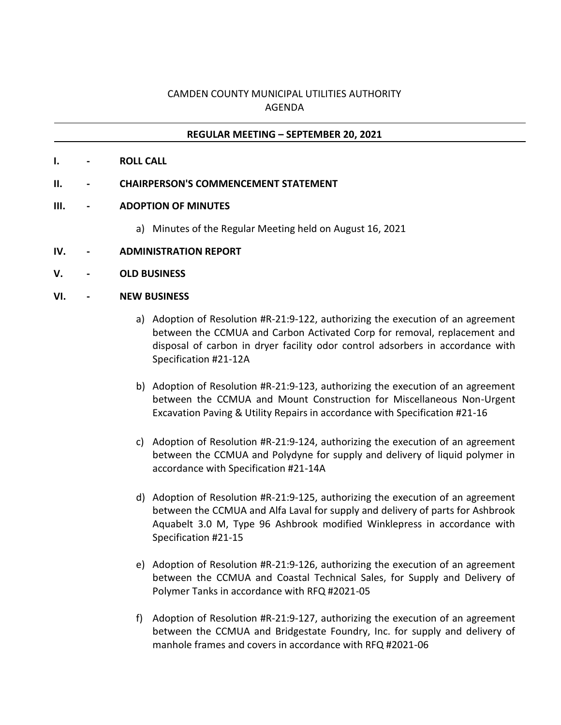## CAMDEN COUNTY MUNICIPAL UTILITIES AUTHORITY AGENDA

## **REGULAR MEETING – SEPTEMBER 20, 2021**

- **I. - ROLL CALL**
- **II. - CHAIRPERSON'S COMMENCEMENT STATEMENT**
- **III. - ADOPTION OF MINUTES**
	- a) Minutes of the Regular Meeting held on August 16, 2021
- **IV. - ADMINISTRATION REPORT**
- **V. - OLD BUSINESS**
- **VI. - NEW BUSINESS**
	- a) Adoption of Resolution #R-21:9-122, authorizing the execution of an agreement between the CCMUA and Carbon Activated Corp for removal, replacement and disposal of carbon in dryer facility odor control adsorbers in accordance with Specification #21-12A
	- b) Adoption of Resolution #R-21:9-123, authorizing the execution of an agreement between the CCMUA and Mount Construction for Miscellaneous Non-Urgent Excavation Paving & Utility Repairs in accordance with Specification #21-16
	- c) Adoption of Resolution #R-21:9-124, authorizing the execution of an agreement between the CCMUA and Polydyne for supply and delivery of liquid polymer in accordance with Specification #21-14A
	- d) Adoption of Resolution #R-21:9-125, authorizing the execution of an agreement between the CCMUA and Alfa Laval for supply and delivery of parts for Ashbrook Aquabelt 3.0 M, Type 96 Ashbrook modified Winklepress in accordance with Specification #21-15
	- e) Adoption of Resolution #R-21:9-126, authorizing the execution of an agreement between the CCMUA and Coastal Technical Sales, for Supply and Delivery of Polymer Tanks in accordance with RFQ #2021-05
	- f) Adoption of Resolution #R-21:9-127, authorizing the execution of an agreement between the CCMUA and Bridgestate Foundry, Inc. for supply and delivery of manhole frames and covers in accordance with RFQ #2021-06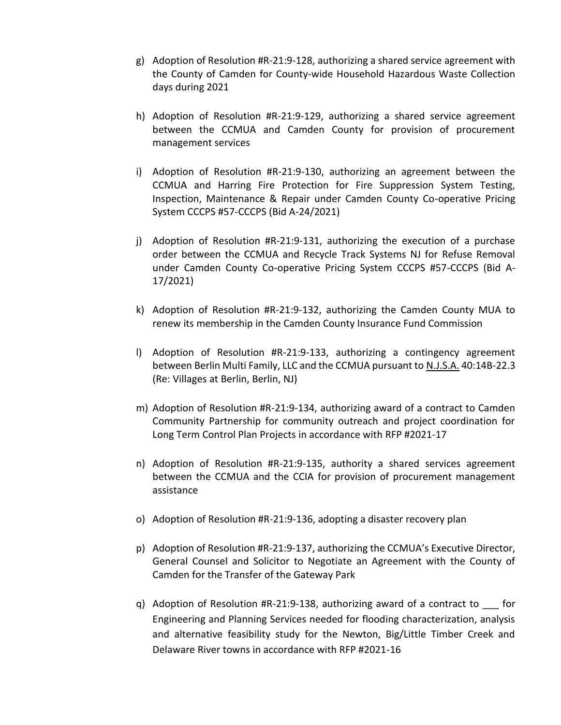- g) Adoption of Resolution #R-21:9-128, authorizing a shared service agreement with the County of Camden for County-wide Household Hazardous Waste Collection days during 2021
- h) Adoption of Resolution #R-21:9-129, authorizing a shared service agreement between the CCMUA and Camden County for provision of procurement management services
- i) Adoption of Resolution #R-21:9-130, authorizing an agreement between the CCMUA and Harring Fire Protection for Fire Suppression System Testing, Inspection, Maintenance & Repair under Camden County Co-operative Pricing System CCCPS #57-CCCPS (Bid A-24/2021)
- j) Adoption of Resolution #R-21:9-131, authorizing the execution of a purchase order between the CCMUA and Recycle Track Systems NJ for Refuse Removal under Camden County Co-operative Pricing System CCCPS #57-CCCPS (Bid A-17/2021)
- k) Adoption of Resolution #R-21:9-132, authorizing the Camden County MUA to renew its membership in the Camden County Insurance Fund Commission
- l) Adoption of Resolution #R-21:9-133, authorizing a contingency agreement between Berlin Multi Family, LLC and the CCMUA pursuant to **N.J.S.A.** 40:14B-22.3 (Re: Villages at Berlin, Berlin, NJ)
- m) Adoption of Resolution #R-21:9-134, authorizing award of a contract to Camden Community Partnership for community outreach and project coordination for Long Term Control Plan Projects in accordance with RFP #2021-17
- n) Adoption of Resolution #R-21:9-135, authority a shared services agreement between the CCMUA and the CCIA for provision of procurement management assistance
- o) Adoption of Resolution #R-21:9-136, adopting a disaster recovery plan
- p) Adoption of Resolution #R-21:9-137, authorizing the CCMUA's Executive Director, General Counsel and Solicitor to Negotiate an Agreement with the County of Camden for the Transfer of the Gateway Park
- q) Adoption of Resolution  $#R-21:9-138$ , authorizing award of a contract to for Engineering and Planning Services needed for flooding characterization, analysis and alternative feasibility study for the Newton, Big/Little Timber Creek and Delaware River towns in accordance with RFP #2021-16